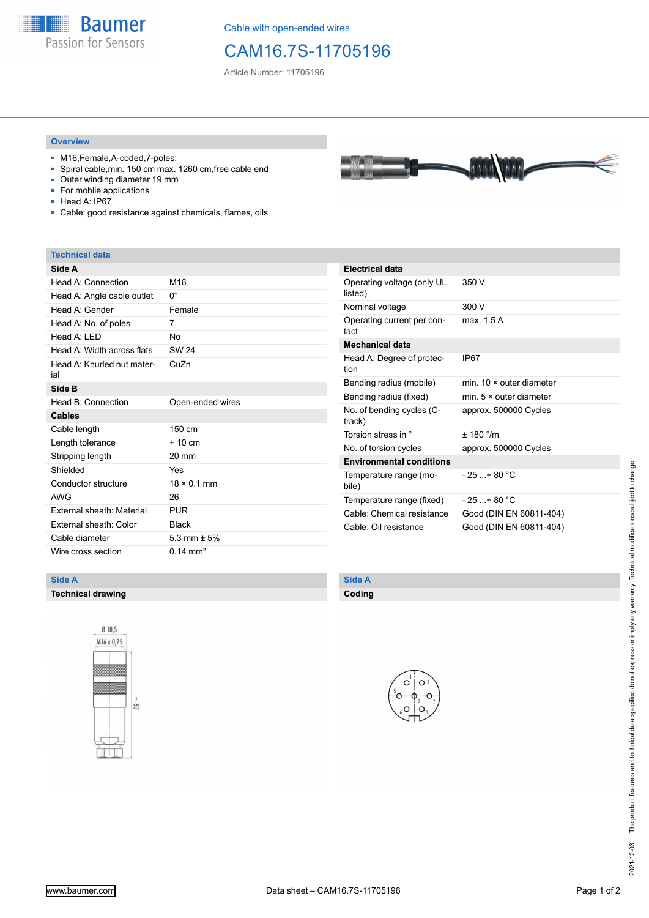

Cable with open-ended wires

## CAM16.7S-11705196

Article Number: 11705196

#### **Overview**

- M16,Female,A-coded,7-poles;
- Spiral cable,min. 150 cm max. 1260 cm,free cable end
- Outer winding diameter 19 mm<br>■ For moblie applications
- For moblie applications
- Head A: IP67
- Cable: good resistance against chemicals, flames, oils

#### **Technical data**

| Side A                            |                    |
|-----------------------------------|--------------------|
| Head A: Connection                | M <sub>16</sub>    |
| Head A: Angle cable outlet        | 0°                 |
| Head A: Gender                    | Female             |
| Head A: No. of poles              | 7                  |
| Head $A \cdot IFD$                | No                 |
| Head A: Width across flats        | SW 24              |
| Head A: Knurled nut mater-<br>ial | CuZn               |
| Side B                            |                    |
| Head B: Connection                | Open-ended wires   |
| <b>Cables</b>                     |                    |
| Cable length                      | 150 cm             |
| Length tolerance                  | $+10$ cm           |
| Stripping length                  | 20 mm              |
| Shielded                          | Yes                |
| Conductor structure               | $18 \times 0.1$ mm |
| <b>AWG</b>                        | 26                 |
| External sheath: Material         | <b>PUR</b>         |
| External sheath: Color            | <b>Black</b>       |
| Cable diameter                    | 5.3 mm $\pm$ 5%    |
|                                   |                    |

| <b>Electrical data</b>                |                                |
|---------------------------------------|--------------------------------|
| Operating voltage (only UL<br>listed) | 350 V                          |
| Nominal voltage                       | 300 V                          |
| Operating current per con-<br>tact    | max 15A                        |
| <b>Mechanical data</b>                |                                |
| Head A: Degree of protec-<br>tion     | IP67                           |
| Bending radius (mobile)               | min. 10 × outer diameter       |
| Bending radius (fixed)                | min. $5 \times$ outer diameter |
| No. of bending cycles (C-<br>track)   | approx. 500000 Cycles          |
| Torsion stress in °                   | ± 180 °/m                      |
| No. of torsion cycles                 | approx. 500000 Cycles          |
| <b>Environmental conditions</b>       |                                |
| Temperature range (mo-<br>bile)       | $-25 + 80 °C$                  |
| Temperature range (fixed)             | $-25$ + 80 °C                  |
| Cable: Chemical resistance            | Good (DIN EN 60811-404)        |
| Cable: Oil resistance                 | Good (DIN EN 60811-404)        |

#### **Side A**

**Technical drawing**



### **Side A**

**Coding**